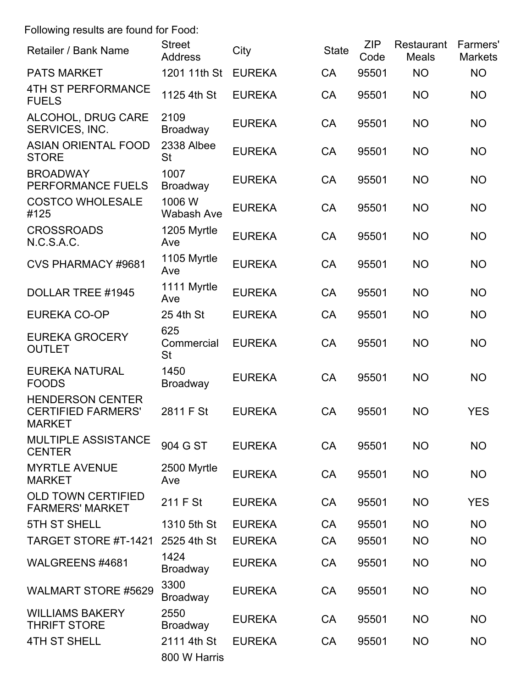Following results are found for Food:

| Retailer / Bank Name                                                  | <b>Street</b><br><b>Address</b> | City          | <b>State</b> | <b>ZIP</b><br>Code | Restaurant<br><b>Meals</b> | <b>Farmers'</b><br><b>Markets</b> |
|-----------------------------------------------------------------------|---------------------------------|---------------|--------------|--------------------|----------------------------|-----------------------------------|
| <b>PATS MARKET</b>                                                    | 1201 11th St                    | <b>EUREKA</b> | <b>CA</b>    | 95501              | <b>NO</b>                  | <b>NO</b>                         |
| <b>4TH ST PERFORMANCE</b><br><b>FUELS</b>                             | 1125 4th St                     | <b>EUREKA</b> | CA           | 95501              | <b>NO</b>                  | <b>NO</b>                         |
| ALCOHOL, DRUG CARE<br>SERVICES, INC.                                  | 2109<br><b>Broadway</b>         | <b>EUREKA</b> | <b>CA</b>    | 95501              | <b>NO</b>                  | <b>NO</b>                         |
| <b>ASIAN ORIENTAL FOOD</b><br><b>STORE</b>                            | 2338 Albee<br><b>St</b>         | <b>EUREKA</b> | CA           | 95501              | <b>NO</b>                  | <b>NO</b>                         |
| <b>BROADWAY</b><br>PERFORMANCE FUELS                                  | 1007<br><b>Broadway</b>         | <b>EUREKA</b> | CA           | 95501              | <b>NO</b>                  | <b>NO</b>                         |
| <b>COSTCO WHOLESALE</b><br>#125                                       | 1006 W<br><b>Wabash Ave</b>     | <b>EUREKA</b> | <b>CA</b>    | 95501              | <b>NO</b>                  | <b>NO</b>                         |
| <b>CROSSROADS</b><br>N.C.S.A.C.                                       | 1205 Myrtle<br>Ave              | <b>EUREKA</b> | <b>CA</b>    | 95501              | <b>NO</b>                  | <b>NO</b>                         |
| <b>CVS PHARMACY #9681</b>                                             | 1105 Myrtle<br>Ave              | <b>EUREKA</b> | <b>CA</b>    | 95501              | <b>NO</b>                  | <b>NO</b>                         |
| DOLLAR TREE #1945                                                     | 1111 Myrtle<br>Ave              | <b>EUREKA</b> | <b>CA</b>    | 95501              | <b>NO</b>                  | <b>NO</b>                         |
| <b>EUREKA CO-OP</b>                                                   | 25 4th St                       | <b>EUREKA</b> | <b>CA</b>    | 95501              | <b>NO</b>                  | <b>NO</b>                         |
| <b>EUREKA GROCERY</b><br><b>OUTLET</b>                                | 625<br>Commercial<br><b>St</b>  | <b>EUREKA</b> | CA           | 95501              | <b>NO</b>                  | <b>NO</b>                         |
| <b>EUREKA NATURAL</b><br><b>FOODS</b>                                 | 1450<br>Broadway                | <b>EUREKA</b> | <b>CA</b>    | 95501              | <b>NO</b>                  | <b>NO</b>                         |
| <b>HENDERSON CENTER</b><br><b>CERTIFIED FARMERS'</b><br><b>MARKET</b> | 2811 F St                       | <b>EUREKA</b> | CA           | 95501              | <b>NO</b>                  | <b>YES</b>                        |
| <b>MULTIPLE ASSISTANCE</b><br><b>CENTER</b>                           | 904 G ST                        | <b>EUREKA</b> | <b>CA</b>    | 95501              | <b>NO</b>                  | <b>NO</b>                         |
| <b>MYRTLE AVENUE</b><br><b>MARKET</b>                                 | 2500 Myrtle<br>Ave              | <b>EUREKA</b> | <b>CA</b>    | 95501              | <b>NO</b>                  | <b>NO</b>                         |
| <b>OLD TOWN CERTIFIED</b><br><b>FARMERS' MARKET</b>                   | 211 F St                        | <b>EUREKA</b> | CA           | 95501              | <b>NO</b>                  | <b>YES</b>                        |
| <b>5TH ST SHELL</b>                                                   | 1310 5th St                     | <b>EUREKA</b> | <b>CA</b>    | 95501              | <b>NO</b>                  | <b>NO</b>                         |
| TARGET STORE #T-1421                                                  | 2525 4th St                     | <b>EUREKA</b> | CA           | 95501              | <b>NO</b>                  | <b>NO</b>                         |
| WALGREENS #4681                                                       | 1424<br><b>Broadway</b>         | <b>EUREKA</b> | CA           | 95501              | <b>NO</b>                  | <b>NO</b>                         |
| <b>WALMART STORE #5629</b>                                            | 3300<br><b>Broadway</b>         | <b>EUREKA</b> | CA           | 95501              | <b>NO</b>                  | <b>NO</b>                         |
| <b>WILLIAMS BAKERY</b><br><b>THRIFT STORE</b>                         | 2550<br><b>Broadway</b>         | <b>EUREKA</b> | <b>CA</b>    | 95501              | <b>NO</b>                  | <b>NO</b>                         |
| <b>4TH ST SHELL</b>                                                   | 2111 4th St<br>800 W Harris     | <b>EUREKA</b> | CA           | 95501              | <b>NO</b>                  | <b>NO</b>                         |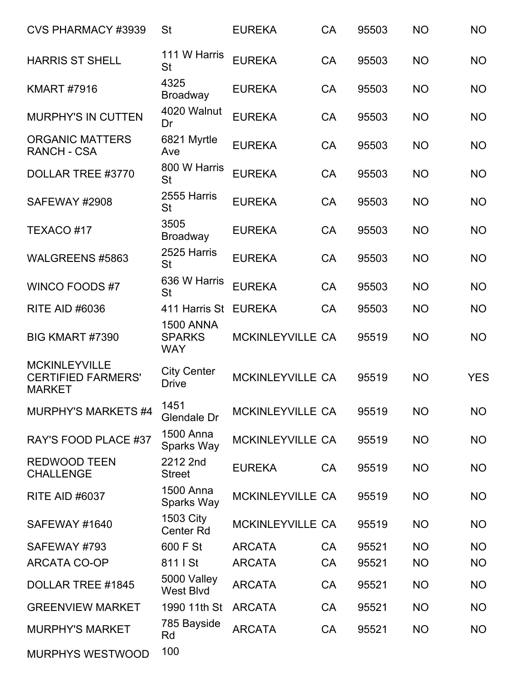| <b>CVS PHARMACY #3939</b>                                          | <b>St</b>                                       | <b>EUREKA</b>           | CA        | 95503 | <b>NO</b> | <b>NO</b>  |
|--------------------------------------------------------------------|-------------------------------------------------|-------------------------|-----------|-------|-----------|------------|
| <b>HARRIS ST SHELL</b>                                             | 111 W Harris<br><b>St</b>                       | <b>EUREKA</b>           | <b>CA</b> | 95503 | <b>NO</b> | <b>NO</b>  |
| <b>KMART #7916</b>                                                 | 4325<br><b>Broadway</b>                         | <b>EUREKA</b>           | CA        | 95503 | <b>NO</b> | <b>NO</b>  |
| <b>MURPHY'S IN CUTTEN</b>                                          | 4020 Walnut<br>Dr                               | <b>EUREKA</b>           | CA        | 95503 | <b>NO</b> | <b>NO</b>  |
| <b>ORGANIC MATTERS</b><br><b>RANCH - CSA</b>                       | 6821 Myrtle<br>Ave                              | <b>EUREKA</b>           | <b>CA</b> | 95503 | <b>NO</b> | <b>NO</b>  |
| DOLLAR TREE #3770                                                  | 800 W Harris<br><b>St</b>                       | <b>EUREKA</b>           | <b>CA</b> | 95503 | <b>NO</b> | <b>NO</b>  |
| SAFEWAY #2908                                                      | 2555 Harris<br><b>St</b>                        | <b>EUREKA</b>           | <b>CA</b> | 95503 | <b>NO</b> | <b>NO</b>  |
| TEXACO#17                                                          | 3505<br><b>Broadway</b>                         | <b>EUREKA</b>           | CA        | 95503 | <b>NO</b> | <b>NO</b>  |
| WALGREENS #5863                                                    | 2525 Harris<br><b>St</b>                        | <b>EUREKA</b>           | <b>CA</b> | 95503 | <b>NO</b> | <b>NO</b>  |
| <b>WINCO FOODS#7</b>                                               | 636 W Harris<br><b>St</b>                       | <b>EUREKA</b>           | <b>CA</b> | 95503 | <b>NO</b> | <b>NO</b>  |
| <b>RITE AID #6036</b>                                              | 411 Harris St                                   | <b>EUREKA</b>           | <b>CA</b> | 95503 | <b>NO</b> | <b>NO</b>  |
| BIG KMART #7390                                                    | <b>1500 ANNA</b><br><b>SPARKS</b><br><b>WAY</b> | <b>MCKINLEYVILLE CA</b> |           | 95519 | <b>NO</b> | <b>NO</b>  |
| <b>MCKINLEYVILLE</b><br><b>CERTIFIED FARMERS'</b><br><b>MARKET</b> | <b>City Center</b><br><b>Drive</b>              | <b>MCKINLEYVILLE CA</b> |           | 95519 | <b>NO</b> | <b>YES</b> |
| MURPHY'S MARKETS #4                                                | 1451<br>Glendale Dr                             | <b>MCKINLEYVILLE CA</b> |           | 95519 | <b>NO</b> | <b>NO</b>  |
| RAY'S FOOD PLACE #37                                               | 1500 Anna<br>Sparks Way                         | <b>MCKINLEYVILLE CA</b> |           | 95519 | <b>NO</b> | <b>NO</b>  |
| <b>REDWOOD TEEN</b><br><b>CHALLENGE</b>                            | 2212 2nd<br><b>Street</b>                       | <b>EUREKA</b>           | <b>CA</b> | 95519 | <b>NO</b> | <b>NO</b>  |
| <b>RITE AID #6037</b>                                              | <b>1500 Anna</b><br>Sparks Way                  | <b>MCKINLEYVILLE CA</b> |           | 95519 | <b>NO</b> | <b>NO</b>  |
| SAFEWAY #1640                                                      | <b>1503 City</b><br>Center Rd                   | <b>MCKINLEYVILLE CA</b> |           | 95519 | <b>NO</b> | <b>NO</b>  |
| SAFEWAY #793                                                       | 600 F St                                        | <b>ARCATA</b>           | <b>CA</b> | 95521 | <b>NO</b> | <b>NO</b>  |
| <b>ARCATA CO-OP</b>                                                | 811   St                                        | <b>ARCATA</b>           | CA        | 95521 | <b>NO</b> | <b>NO</b>  |
| DOLLAR TREE #1845                                                  | 5000 Valley<br><b>West Blvd</b>                 | <b>ARCATA</b>           | CA        | 95521 | <b>NO</b> | <b>NO</b>  |
| <b>GREENVIEW MARKET</b>                                            | 1990 11th St                                    | <b>ARCATA</b>           | CA        | 95521 | <b>NO</b> | <b>NO</b>  |
| <b>MURPHY'S MARKET</b>                                             | 785 Bayside<br>Rd                               | <b>ARCATA</b>           | CA        | 95521 | <b>NO</b> | <b>NO</b>  |
| MURPHYS WESTWOOD                                                   | 100                                             |                         |           |       |           |            |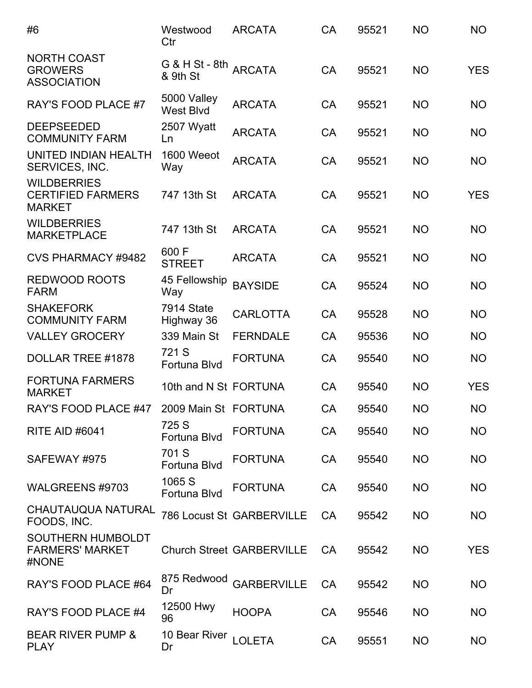| #6                                                              | Westwood<br>Ctr                   | <b>ARCATA</b>                    | <b>CA</b> | 95521 | <b>NO</b> | <b>NO</b>  |
|-----------------------------------------------------------------|-----------------------------------|----------------------------------|-----------|-------|-----------|------------|
| <b>NORTH COAST</b><br><b>GROWERS</b><br><b>ASSOCIATION</b>      | G & H St - 8th ARCATA<br>& 9th St |                                  | <b>CA</b> | 95521 | <b>NO</b> | <b>YES</b> |
| <b>RAY'S FOOD PLACE #7</b>                                      | 5000 Valley<br><b>West Blvd</b>   | <b>ARCATA</b>                    | <b>CA</b> | 95521 | <b>NO</b> | <b>NO</b>  |
| <b>DEEPSEEDED</b><br><b>COMMUNITY FARM</b>                      | 2507 Wyatt<br>Ln                  | <b>ARCATA</b>                    | CA        | 95521 | <b>NO</b> | <b>NO</b>  |
| UNITED INDIAN HEALTH<br>SERVICES, INC.                          | 1600 Weeot<br>Way                 | <b>ARCATA</b>                    | CA        | 95521 | <b>NO</b> | <b>NO</b>  |
| <b>WILDBERRIES</b><br><b>CERTIFIED FARMERS</b><br><b>MARKET</b> | 747 13th St                       | <b>ARCATA</b>                    | <b>CA</b> | 95521 | <b>NO</b> | <b>YES</b> |
| <b>WILDBERRIES</b><br><b>MARKETPLACE</b>                        | 747 13th St                       | <b>ARCATA</b>                    | <b>CA</b> | 95521 | <b>NO</b> | <b>NO</b>  |
| <b>CVS PHARMACY #9482</b>                                       | 600 F<br><b>STREET</b>            | <b>ARCATA</b>                    | <b>CA</b> | 95521 | <b>NO</b> | <b>NO</b>  |
| <b>REDWOOD ROOTS</b><br><b>FARM</b>                             | 45 Fellowship<br>Way              | <b>BAYSIDE</b>                   | CA        | 95524 | <b>NO</b> | <b>NO</b>  |
| <b>SHAKEFORK</b><br><b>COMMUNITY FARM</b>                       | 7914 State<br>Highway 36          | <b>CARLOTTA</b>                  | <b>CA</b> | 95528 | <b>NO</b> | <b>NO</b>  |
| <b>VALLEY GROCERY</b>                                           | 339 Main St                       | <b>FERNDALE</b>                  | <b>CA</b> | 95536 | <b>NO</b> | <b>NO</b>  |
| DOLLAR TREE #1878                                               | 721 S<br>Fortuna Blvd             | <b>FORTUNA</b>                   | <b>CA</b> | 95540 | <b>NO</b> | <b>NO</b>  |
| <b>FORTUNA FARMERS</b><br><b>MARKET</b>                         | 10th and N St FORTUNA             |                                  | CA        | 95540 | <b>NO</b> | <b>YES</b> |
| RAY'S FOOD PLACE #47                                            | 2009 Main St FORTUNA              |                                  | СA        | 95540 | <b>NO</b> | NO.        |
| <b>RITE AID #6041</b>                                           | 725 S<br>Fortuna Blvd             | <b>FORTUNA</b>                   | CA        | 95540 | <b>NO</b> | <b>NO</b>  |
| SAFEWAY #975                                                    | 701 S<br>Fortuna Blvd             | <b>FORTUNA</b>                   | CA        | 95540 | <b>NO</b> | <b>NO</b>  |
| WALGREENS #9703                                                 | 1065 S<br>Fortuna Blvd            | <b>FORTUNA</b>                   | CA        | 95540 | <b>NO</b> | <b>NO</b>  |
| <b>CHAUTAUQUA NATURAL</b><br>FOODS, INC.                        |                                   | <b>786 Locust St GARBERVILLE</b> | <b>CA</b> | 95542 | <b>NO</b> | NO         |
| <b>SOUTHERN HUMBOLDT</b><br><b>FARMERS' MARKET</b><br>#NONE     |                                   | <b>Church Street GARBERVILLE</b> | <b>CA</b> | 95542 | <b>NO</b> | <b>YES</b> |
| RAY'S FOOD PLACE #64                                            | 875 Redwood<br>Dr                 | <b>GARBERVILLE</b>               | <b>CA</b> | 95542 | <b>NO</b> | NO         |
| RAY'S FOOD PLACE #4                                             | 12500 Hwy<br>96                   | <b>HOOPA</b>                     | <b>CA</b> | 95546 | <b>NO</b> | <b>NO</b>  |
| <b>BEAR RIVER PUMP &amp;</b><br><b>PLAY</b>                     | 10 Bear River<br>Dr               | <b>LOLETA</b>                    | CA        | 95551 | <b>NO</b> | NO         |